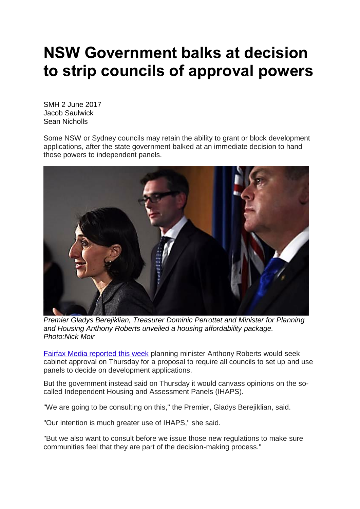## **NSW Government balks at decision to strip councils of approval powers**

SMH 2 June 2017 Jacob Saulwick Sean Nicholls

Some NSW or Sydney councils may retain the ability to grant or block development applications, after the state government balked at an immediate decision to hand those powers to independent panels.



*Premier Gladys Berejiklian, Treasurer Dominic Perrottet and Minister for Planning and Housing Anthony Roberts unveiled a housing affordability package. Photo:Nick Moir*

Fairfax Media [reported](http://www.smh.com.au/nsw/councils-set-to-be-stripped-of-da-powers-20170529-gwfpor.html) this week planning minister Anthony Roberts would seek cabinet approval on Thursday for a proposal to require all councils to set up and use panels to decide on development applications.

But the government instead said on Thursday it would canvass opinions on the socalled Independent Housing and Assessment Panels (IHAPS).

"We are going to be consulting on this," the Premier, Gladys Berejiklian, said.

"Our intention is much greater use of IHAPS," she said.

"But we also want to consult before we issue those new regulations to make sure communities feel that they are part of the decision-making process."